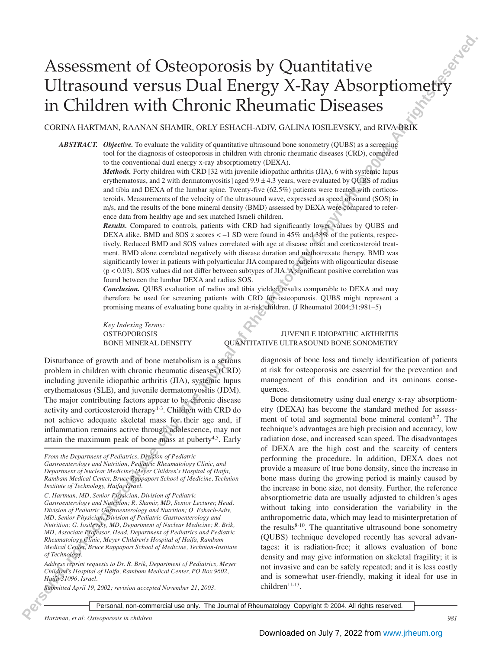# Assessment of Osteoporosis by Quantitative Ultrasound versus Dual Energy X-Ray Absorptiometry in Children with Chronic Rheumatic Diseases

CORINA HARTMAN, RAANAN SHAMIR, ORLY ESHACH-ADIV, GALINA IOSILEVSKY, and RIVA BRIK

*ABSTRACT. Objective.* To evaluate the validity of quantitative ultrasound bone sonometry (QUBS) as a screening tool for the diagnosis of osteoporosis in children with chronic rheumatic diseases (CRD), compared to the conventional dual energy x-ray absorptiometry (DEXA).

> *Methods.* Forty children with CRD [32 with juvenile idiopathic arthritis (JIA), 6 with systemic lupus erythematosus, and 2 with dermatomyositis] aged  $9.9 \pm 4.3$  years, were evaluated by QUBS of radius and tibia and DEXA of the lumbar spine. Twenty-five (62.5%) patients were treated with corticosteroids. Measurements of the velocity of the ultrasound wave, expressed as speed of sound (SOS) in m/s, and the results of the bone mineral density (BMD) assessed by DEXA were compared to reference data from healthy age and sex matched Israeli children.

> *Results.* Compared to controls, patients with CRD had significantly lower values by QUBS and DEXA alike. BMD and SOS z scores < –1 SD were found in 45% and 38% of the patients, respectively. Reduced BMD and SOS values correlated with age at disease onset and corticosteroid treatment. BMD alone correlated negatively with disease duration and methotrexate therapy. BMD was significantly lower in patients with polyarticular JIA compared to patients with oligoarticular disease (p < 0.03). SOS values did not differ between subtypes of JIA. A significant positive correlation was found between the lumbar DEXA and radius SOS.

> *Conclusion.* QUBS evaluation of radius and tibia yielded results comparable to DEXA and may therefore be used for screening patients with CRD for osteoporosis. QUBS might represent a promising means of evaluating bone quality in at-risk children. (J Rheumatol 2004;31:981–5)

*Key Indexing Terms:*

#### OSTEOPOROSIS JUVENILE IDIOPATHIC ARTHRITIS BONE MINERAL DENSITY QUANTITATIVE ULTRASOUND BONE SONOMETRY

Disturbance of growth and of bone metabolism is a serious problem in children with chronic rheumatic diseases (CRD) including juvenile idiopathic arthritis (JIA), systemic lupus erythematosus (SLE), and juvenile dermatomyositis (JDM). The major contributing factors appear to be chronic disease activity and corticosteroid therapy<sup>1-3</sup>. Children with CRD do not achieve adequate skeletal mass for their age and, if inflammation remains active through adolescence, may not attain the maximum peak of bone mass at puberty<sup>4,5</sup>. Early

*Division of Pediatric Gastroenterology and Nutrition; O. Eshach-Adiv, MD, Senior Physician, Division of Pediatric Gastroenterology and Nutrition; G. Iosilevsky, MD, Department of Nuclear Medicine; R. Brik, MD, Associate Professor, Head, Department of Pediatrics and Pediatric Rheumatology Clinic, Meyer Children's Hospital of Haifa, Rambam Medical Center, Bruce Rappaport School of Medicine, Technion-Institute of Technology.*

diagnosis of bone loss and timely identification of patients at risk for osteoporosis are essential for the prevention and management of this condition and its ominous consequences.

**Persons the following commutative commutative commutative interactions Personally in Children with Chronic Rheumatology. The Maximum Commutative Commutative Commutative Commutative Commutative Commutative Commutative Co** Bone densitometry using dual energy x-ray absorptiometry (DEXA) has become the standard method for assessment of total and segmental bone mineral content<sup>6,7</sup>. The technique's advantages are high precision and accuracy, low radiation dose, and increased scan speed. The disadvantages of DEXA are the high cost and the scarcity of centers performing the procedure. In addition, DEXA does not provide a measure of true bone density, since the increase in bone mass during the growing period is mainly caused by the increase in bone size, not density. Further, the reference absorptiometric data are usually adjusted to children's ages without taking into consideration the variability in the anthropometric data, which may lead to misinterpretation of the results $8-10$ . The quantitative ultrasound bone sonometry (QUBS) technique developed recently has several advantages: it is radiation-free; it allows evaluation of bone density and may give information on skeletal fragility; it is not invasive and can be safely repeated; and it is less costly and is somewhat user-friendly, making it ideal for use in children<sup>11-13</sup>.

*From the Department of Pediatrics, Division of Pediatric Gastroenterology and Nutrition, Pediatric Rheumatology Clinic, and Department of Nuclear Medicine, Meyer Children's Hospital of Haifa, Rambam Medical Center, Bruce Rappaport School of Medicine, Technion Institute of Technology, Haifa, Israel.*

*C. Hartman, MD, Senior Physician, Division of Pediatric Gastroenterology and Nutrition; R. Shamir, MD, Senior Lecturer, Head,*

*Address reprint requests to Dr. R. Brik, Department of Pediatrics, Meyer Children's Hospital of Haifa, Rambam Medical Center, PO Box 9602, Haifa 31096, Israel.*

*Submitted April 19, 2002; revision accepted November 21, 2003.*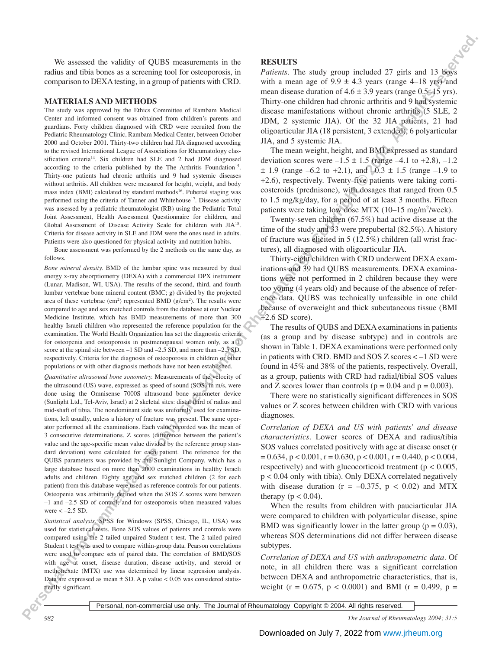We assessed the validity of QUBS measurements in the radius and tibia bones as a screening tool for osteoporosis, in comparison to DEXA testing, in a group of patients with CRD.

# **MATERIALS AND METHODS**

The study was approved by the Ethics Committee of Rambam Medical Center and informed consent was obtained from children's parents and guardians. Forty children diagnosed with CRD were recruited from the Pediatric Rheumatology Clinic, Rambam Medical Center, between October 2000 and October 2001. Thirty-two children had JIA diagnosed according to the revised International League of Associations for Rheumatology classification criteria<sup>14</sup>. Six children had SLE and 2 had JDM diagnosed according to the criteria published by the The Arthritis Foundation<sup>15</sup>. Thirty-one patients had chronic arthritis and 9 had systemic diseases without arthritis. All children were measured for height, weight, and body mass index (BMI) calculated by standard methods<sup>16</sup>. Pubertal staging was performed using the criteria of Tanner and Whitehouse<sup>17</sup>. Disease activity was assessed by a pediatric rheumatologist (RB) using the Pediatric Total Joint Assessment, Health Assessment Questionnaire for children, and Global Assessment of Disease Activity Scale for children with JIA18. Criteria for disease activity in SLE and JDM were the ones used in adults. Patients were also questioned for physical activity and nutrition habits.

Bone assessment was performed by the 2 methods on the same day, as follows.

*Bone mineral density.* BMD of the lumbar spine was measured by dual energy x-ray absorptiometry (DEXA) with a commercial DPX instrument (Lunar, Madison, WI, USA). The results of the second, third, and fourth lumbar vertebrae bone mineral content (BMC; g) divided by the projected area of these vertebrae  $(cm<sup>2</sup>)$  represented BMD  $(g/cm<sup>2</sup>)$ . The results were compared to age and sex matched controls from the database at our Nuclear Medicine Institute, which has BMD measurements of more than 300 healthy Israeli children who represented the reference population for the examination. The World Health Organization has set the diagnostic criteria for osteopenia and osteoporosis in postmenopausal women only, as a T score at the spinal site between –1 SD and –2.5 SD, and more than –2.5 SD, respectively. Criteria for the diagnosis of osteoporosis in children or other populations or with other diagnosis methods have not been established.

We avoided for which propagation of consistency in the Hall result of Rheumatology. The Hall result is a commercial use of Rheumatology. The Hall result is a commercial use of Rheumatology. The Hall result is a computer o *Quantitative ultrasound bone sonometry.* Measurements of the velocity of the ultrasound (US) wave, expressed as speed of sound (SOS) in m/s, were done using the Omnisense 7000S ultrasound bone sonometer device (Sunlight Ltd., Tel-Aviv, Israel) at 2 skeletal sites: distal third of radius and mid-shaft of tibia. The nondominant side was uniformly used for examinations, left usually, unless a history of fracture was present. The same operator performed all the examinations. Each value recorded was the mean of 3 consecutive determinations. Z scores (difference between the patient's value and the age-specific mean value divided by the reference group standard deviation) were calculated for each patient. The reference for the QUBS parameters was provided by the Sunlight Company, which has a large database based on more than 2000 examinations in healthy Israeli adults and children. Eighty age and sex matched children (2 for each patient) from this database were used as reference controls for our patients. Osteopenia was arbitrarily defined when the SOS Z scores were between –1 and –2.5 SD of control; and for osteoporosis when measured values were  $<-2.5$  SD.

*Statistical analysis.* SPSS for Windows (SPSS, Chicago, IL, USA) was used for statistical tests. Bone SOS values of patients and controls were compared using the 2 tailed unpaired Student t test. The 2 tailed paired Student t test was used to compare within-group data. Pearson correlations were used to compare sets of paired data. The correlation of BMD/SOS with age at onset, disease duration, disease activity, and steroid or methotrexate (MTX) use was determined by linear regression analysis. Data are expressed as mean ± SD. A p value < 0.05 was considered statistically significant.

### **RESULTS**

*Patients.* The study group included 27 girls and 13 boys with a mean age of  $9.9 \pm 4.3$  years (range 4–18 yrs) and mean disease duration of  $4.6 \pm 3.9$  years (range 0.5–15 yrs). Thirty-one children had chronic arthritis and 9 had systemic disease manifestations without chronic arthritis (5 SLE, 2 JDM, 2 systemic JIA). Of the 32 JIA patients, 21 had oligoarticular JIA (18 persistent, 3 extended), 6 polyarticular JIA, and 5 systemic JIA.

The mean weight, height, and BMI expressed as standard deviation scores were  $-1.5 \pm 1.5$  (range  $-4.1$  to  $+2.8$ ),  $-1.2$  $\pm$  1.9 (range –6.2 to +2.1), and  $\pm$ 0.3  $\pm$  1.5 (range –1.9 to +2.6), respectively. Twenty-five patients were taking corticosteroids (prednisone), with dosages that ranged from 0.5 to 1.5 mg/kg/day, for a period of at least 3 months. Fifteen patients were taking low dose MTX (10–15 mg/m<sup>2</sup>/week).

Twenty-seven children (67.5%) had active disease at the time of the study and 33 were prepubertal (82.5%). A history of fracture was elicited in 5 (12.5%) children (all wrist fractures), all diagnosed with oligoarticular JIA.

Thirty-eight children with CRD underwent DEXA examinations and 39 had QUBS measurements. DEXA examinations were not performed in 2 children because they were too young (4 years old) and because of the absence of reference data. QUBS was technically unfeasible in one child because of overweight and thick subcutaneous tissue (BMI  $+2.6$  SD score).

The results of QUBS and DEXA examinations in patients (as a group and by disease subtype) and in controls are shown in Table 1. DEXA examinations were performed only in patients with CRD. BMD and SOS Z scores < –1 SD were found in 45% and 38% of the patients, respectively. Overall, as a group, patients with CRD had radial/tibial SOS values and Z scores lower than controls ( $p = 0.04$  and  $p = 0.003$ ).

There were no statistically significant differences in SOS values or Z scores between children with CRD with various diagnoses.

*Correlation of DEXA and US with patients' and disease characteristics.* Lower scores of DEXA and radius/tibia SOS values correlated positively with age at disease onset (r  $= 0.634$ ,  $p < 0.001$ ,  $r = 0.630$ ,  $p < 0.001$ ,  $r = 0.440$ ,  $p < 0.004$ , respectively) and with glucocorticoid treatment ( $p < 0.005$ , p < 0.04 only with tibia). Only DEXA correlated negatively with disease duration ( $r = -0.375$ ,  $p < 0.02$ ) and MTX therapy ( $p < 0.04$ ).

When the results from children with pauciarticular JIA were compared to children with polyarticular disease, spine BMD was significantly lower in the latter group ( $p = 0.03$ ), whereas SOS determinations did not differ between disease subtypes.

*Correlation of DEXA and US with anthropometric data.* Of note, in all children there was a significant correlation between DEXA and anthropometric characteristics, that is, weight (r = 0.675,  $p < 0.0001$ ) and BMI (r = 0.499,  $p =$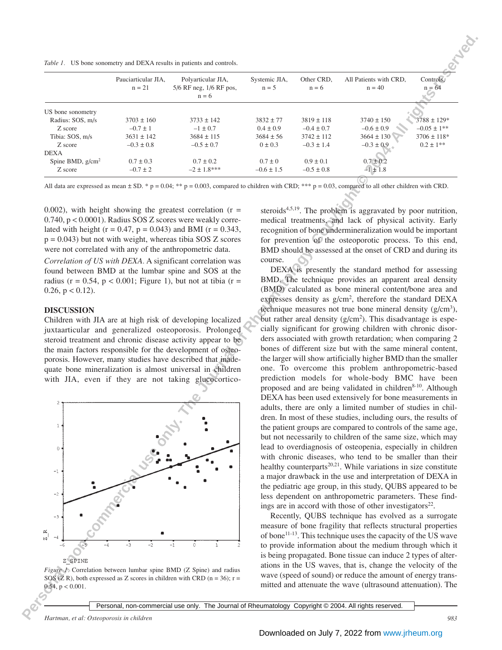*Table 1.* US bone sonometry and DEXA results in patients and controls.

|                     | Pauciarticular JIA,<br>$n = 21$ | Polyarticular JIA,<br>$5/6$ RF neg, $1/6$ RF pos,<br>$n = 6$ | Systemic JIA,<br>$n = 5$ | Other CRD,<br>$n = 6$ | All Patients with CRD,<br>$n = 40$ | Controls.<br>$n = 64$       |
|---------------------|---------------------------------|--------------------------------------------------------------|--------------------------|-----------------------|------------------------------------|-----------------------------|
| US bone sonometry   |                                 |                                                              |                          |                       |                                    |                             |
| Radius: SOS, m/s    | $3703 \pm 160$                  | $3733 \pm 142$                                               | $3832 \pm 77$            | $3819 \pm 118$        | $3740 \pm 150$                     | $3788 \pm 129$ *            |
| Z score             | $-0.7 \pm 1$                    | $-1 \pm 0.7$                                                 | $0.4 \pm 0.9$            | $-0.4 \pm 0.7$        | $-0.6 \pm 0.9$                     | $-0.05 \pm 1**$             |
| Tibia: SOS, m/s     | $3631 \pm 142$                  | $3684 \pm 115$                                               | $3684 \pm 56$            | $3742 \pm 112$        | $3664 \pm 130$                     | $3706 \pm 118$ <sup>*</sup> |
| Z score             | $-0.3 \pm 0.8$                  | $-0.5 \pm 0.7$                                               | $0 \pm 0.3$              | $-0.3 \pm 1.4$        | $-0.3 \pm 0.9$                     | $0.2 \pm 1**$               |
| <b>DEXA</b>         |                                 |                                                              |                          |                       |                                    |                             |
| Spine BMD, $g/cm^2$ | $0.7 \pm 0.3$                   | $0.7 \pm 0.2$                                                | $0.7 \pm 0$              | $0.9 \pm 0.1$         | $0.7 \pm 0.2$                      |                             |
| Z score             | $-0.7 \pm 2$                    | $-2 \pm 1.8$ ***                                             | $-0.6 \pm 1.5$           | $-0.5 \pm 0.8$        | $-1 \pm 1.8$                       |                             |

All data are expressed as mean  $\pm$  SD. \* p = 0.04; \*\* p = 0.003, compared to children with CRD; \*\*\* p = 0.03, compared to all other children with CRD.

0.002), with height showing the greatest correlation  $(r =$ 0.740, p < 0.0001). Radius SOS Z scores were weakly correlated with height ( $r = 0.47$ ,  $p = 0.043$ ) and BMI ( $r = 0.343$ ,  $p = 0.043$ ) but not with weight, whereas tibia SOS Z scores were not correlated with any of the anthropometric data.

*Correlation of US with DEXA.* A significant correlation was found between BMD at the lumbar spine and SOS at the radius ( $r = 0.54$ ,  $p < 0.001$ ; Figure 1), but not at tibia ( $r =$ 0.26,  $p < 0.12$ ).

#### **DISCUSSION**

Children with JIA are at high risk of developing localized juxtaarticular and generalized osteoporosis. Prolonged steroid treatment and chronic disease activity appear to be the main factors responsible for the development of osteoporosis. However, many studies have described that inadequate bone mineralization is almost universal in children with JIA, even if they are not taking glucocortico-



*Figure 1.* Correlation between lumbar spine BMD (Z Spine) and radius SOS ( $Z \, R$ ), both expressed as  $Z$  scores in children with CRD ( $n = 36$ );  $r =$  $0.54$ ,  $p < 0.001$ .

steroids<sup>4,5,19</sup>. The problem is aggravated by poor nutrition, medical treatments, and lack of physical activity. Early recognition of bone undermineralization would be important for prevention of the osteoporotic process. To this end, BMD should be assessed at the onset of CRD and during its course.

**Personal of Eq. (2004. Personal of Reserved Stress Foundation**  $\frac{1}{2}$  **Personal of Reserved. Personal of Reserved. Personal of Reserved. Personal of Reserved. Personal of Reserved. Personal of Reserved.** DEXA is presently the standard method for assessing BMD. The technique provides an apparent areal density (BMD) calculated as bone mineral content/bone area and expresses density as g/cm<sup>2</sup>, therefore the standard DEXA technique measures not true bone mineral density  $(g/cm<sup>3</sup>)$ , but rather areal density  $(g/cm<sup>2</sup>)$ . This disadvantage is especially significant for growing children with chronic disorders associated with growth retardation; when comparing 2 bones of different size but with the same mineral content, the larger will show artificially higher BMD than the smaller one. To overcome this problem anthropometric-based prediction models for whole-body BMC have been proposed and are being validated in children $8-10$ . Although DEXA has been used extensively for bone measurements in adults, there are only a limited number of studies in children. In most of these studies, including ours, the results of the patient groups are compared to controls of the same age, but not necessarily to children of the same size, which may lead to overdiagnosis of osteopenia, especially in children with chronic diseases, who tend to be smaller than their healthy counterparts<sup>20,21</sup>. While variations in size constitute a major drawback in the use and interpretation of DEXA in the pediatric age group, in this study, QUBS appeared to be less dependent on anthropometric parameters. These findings are in accord with those of other investigators $22$ .

Recently, QUBS technique has evolved as a surrogate measure of bone fragility that reflects structural properties of bone11-13. This technique uses the capacity of the US wave to provide information about the medium through which it is being propagated. Bone tissue can induce 2 types of alterations in the US waves, that is, change the velocity of the wave (speed of sound) or reduce the amount of energy transmitted and attenuate the wave (ultrasound attenuation). The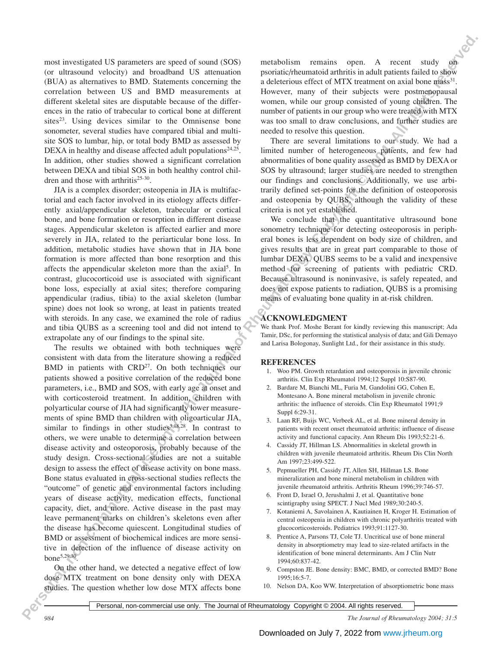most investigated US parameters are speed of sound (SOS) (or ultrasound velocity) and broadband US attenuation (BUA) as alternatives to BMD. Statements concerning the correlation between US and BMD measurements at different skeletal sites are disputable because of the differences in the ratio of trabecular to cortical bone at different sites<sup>23</sup>. Using devices similar to the Omnisense bone sonometer, several studies have compared tibial and multisite SOS to lumbar, hip, or total body BMD as assessed by DEXA in healthy and disease affected adult populations<sup>24,25</sup>. In addition, other studies showed a significant correlation between DEXA and tibial SOS in both healthy control children and those with arthritis $25-30$ .

JIA is a complex disorder; osteopenia in JIA is multifactorial and each factor involved in its etiology affects differently axial/appendicular skeleton, trabecular or cortical bone, and bone formation or resorption in different disease stages. Appendicular skeleton is affected earlier and more severely in JIA, related to the periarticular bone loss. In addition, metabolic studies have shown that in JIA bone formation is more affected than bone resorption and this affects the appendicular skeleton more than the axial<sup>5</sup>. In contrast, glucocorticoid use is associated with significant bone loss, especially at axial sites; therefore comparing appendicular (radius, tibia) to the axial skeleton (lumbar spine) does not look so wrong, at least in patients treated with steroids. In any case, we examined the role of radius and tibia QUBS as a screening tool and did not intend to extrapolate any of our findings to the spinal site.

**Personal of the Source Commercial Use of the Source Commercial Use of the Use of the Source Commercial Use of the Source Commercial Use of the Source Commercial Use of the Source Commercial Use of the Source Commercial U** The results we obtained with both techniques were consistent with data from the literature showing a reduced BMD in patients with  $CRD<sup>27</sup>$ . On both techniques our patients showed a positive correlation of the reduced bone parameters, i.e., BMD and SOS, with early age at onset and with corticosteroid treatment. In addition, children with polyarticular course of JIA had significantly lower measurements of spine BMD than children with oligoarticular JIA, similar to findings in other studies<sup>3,18,28</sup>. In contrast to others, we were unable to determine a correlation between disease activity and osteoporosis, probably because of the study design. Cross-sectional studies are not a suitable design to assess the effect of disease activity on bone mass. Bone status evaluated in cross-sectional studies reflects the "outcome" of genetic and environmental factors including years of disease activity, medication effects, functional capacity, diet, and more. Active disease in the past may leave permanent marks on children's skeletons even after the disease has become quiescent. Longitudinal studies of BMD or assessment of biochemical indices are more sensitive in detection of the influence of disease activity on bone5,29,30.

On the other hand, we detected a negative effect of low dose MTX treatment on bone density only with DEXA studies. The question whether low dose MTX affects bone

metabolism remains open. A recent study psoriatic/rheumatoid arthritis in adult patients failed to show a deleterious effect of MTX treatment on axial bone mass<sup>31</sup>. However, many of their subjects were postmenopausal women, while our group consisted of young children. The number of patients in our group who were treated with MTX was too small to draw conclusions, and further studies are needed to resolve this question.

There are several limitations to our study. We had a limited number of heterogeneous patients, and few had abnormalities of bone quality assessed as BMD by DEXA or SOS by ultrasound; larger studies are needed to strengthen our findings and conclusions. Additionally, we use arbitrarily defined set-points for the definition of osteoporosis and osteopenia by QUBS, although the validity of these criteria is not yet established.

We conclude that the quantitative ultrasound bone sonometry technique for detecting osteoporosis in peripheral bones is less dependent on body size of children, and gives results that are in great part comparable to those of lumbar DEXA. QUBS seems to be a valid and inexpensive method for screening of patients with pediatric CRD. Because ultrasound is noninvasive, is safely repeated, and does not expose patients to radiation, QUBS is a promising means of evaluating bone quality in at-risk children.

# **ACKNOWLEDGMENT**

We thank Prof. Moshe Berant for kindly reviewing this manuscript; Ada Tamir, DSc, for performing the statistical analysis of data; and Gili Demayo and Larisa Bologonay, Sunlight Ltd., for their assistance in this study.

### **REFERENCES**

- 1. Woo PM. Growth retardation and osteoporosis in juvenile chronic arthritis. Clin Exp Rheumatol 1994;12 Suppl 10:S87-90.
- 2. Bardare M, Bianchi ML, Furia M, Gandolini GG, Cohen E, Montesano A. Bone mineral metabolism in juvenile chronic arthritis: the influence of steroids. Clin Exp Rheumatol 1991;9 Suppl 6:29-31.
- 3. Laan RF, Buijs WC, Verbeek AL, et al. Bone mineral density in patients with recent onset rheumatoid arthritis: influence of disease activity and functional capacity. Ann Rheum Dis 1993;52:21-6.
- 4. Cassidy JT, Hillman LS. Abnormalities in skeletal growth in children with juvenile rheumatoid arthritis. Rheum Dis Clin North Am 1997;23:499-522.
- 5. Pepmueller PH, Cassidy JT, Allen SH, Hillman LS. Bone mineralization and bone mineral metabolism in children with juvenile rheumatoid arthritis. Arthritis Rheum 1996;39:746-57.
- 6. Front D, Israel O, Jerushalmi J, et al. Quantitative bone scintigraphy using SPECT. J Nucl Med 1989;30:240-5.
- 7. Kotaniemi A, Savolainen A, Kautiainen H, Kroger H. Estimation of central osteopenia in children with chronic polyarthritis treated with glucocorticosteroids. Pediatrics 1993;91:1127-30.
- 8. Prentice A, Parsons TJ, Cole TJ. Uncritical use of bone mineral density in absorptiometry may lead to size-related artifacts in the identification of bone mineral determinants. Am J Clin Nutr 1994;60:837-42.
- Compston JE. Bone density: BMC, BMD, or corrected BMD? Bone 1995;16:5-7.
- 10. Nelson DA, Koo WW. Interpretation of absorptiometric bone mass